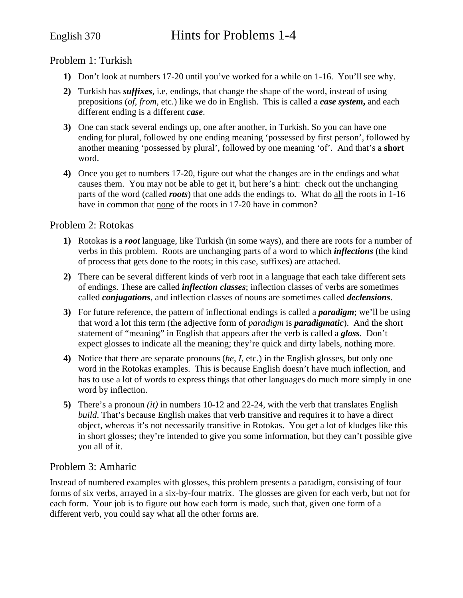# English 370 Hints for Problems 1-4

### Problem 1: Turkish

- **1)** Don't look at numbers 17-20 until you've worked for a while on 1-16. You'll see why.
- **2)** Turkish has *suffixes*, i.e, endings, that change the shape of the word, instead of using prepositions (*of*, *from*, etc.) like we do in English. This is called a *case system***,** and each different ending is a different *case*.
- **3)** One can stack several endings up, one after another, in Turkish. So you can have one ending for plural, followed by one ending meaning 'possessed by first person', followed by another meaning 'possessed by plural', followed by one meaning 'of'. And that's a **short** word.
- **4)** Once you get to numbers 17-20, figure out what the changes are in the endings and what causes them. You may not be able to get it, but here's a hint: check out the unchanging parts of the word (called *roots*) that one adds the endings to. What do all the roots in 1-16 have in common that none of the roots in 17-20 have in common?

#### Problem 2: Rotokas

- **1)** Rotokas is a *root* language, like Turkish (in some ways), and there are roots for a number of verbs in this problem. Roots are unchanging parts of a word to which *inflections* (the kind of process that gets done to the roots; in this case, suffixes) are attached.
- **2)** There can be several different kinds of verb root in a language that each take different sets of endings. These are called *inflection classes*; inflection classes of verbs are sometimes called *conjugations*, and inflection classes of nouns are sometimes called *declensions*.
- **3)** For future reference, the pattern of inflectional endings is called a *paradigm*; we'll be using that word a lot this term (the adjective form of *paradigm* is *paradigmatic*). And the short statement of "meaning" in English that appears after the verb is called a *gloss*. Don't expect glosses to indicate all the meaning; they're quick and dirty labels, nothing more.
- **4)** Notice that there are separate pronouns (*he*, *I*, etc.) in the English glosses, but only one word in the Rotokas examples. This is because English doesn't have much inflection, and has to use a lot of words to express things that other languages do much more simply in one word by inflection.
- **5)** There's a pronoun *(it)* in numbers 10-12 and 22-24, with the verb that translates English *build*. That's because English makes that verb transitive and requires it to have a direct object, whereas it's not necessarily transitive in Rotokas. You get a lot of kludges like this in short glosses; they're intended to give you some information, but they can't possible give you all of it.

### Problem 3: Amharic

Instead of numbered examples with glosses, this problem presents a paradigm, consisting of four forms of six verbs, arrayed in a six-by-four matrix. The glosses are given for each verb, but not for each form. Your job is to figure out how each form is made, such that, given one form of a different verb, you could say what all the other forms are.